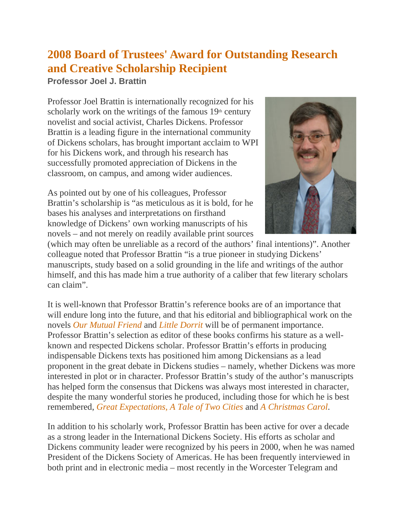## **2008 Board of Trustees' Award for Outstanding Research and Creative Scholarship Recipient**

**Professor Joel J. Brattin**

Professor Joel Brattin is internationally recognized for his scholarly work on the writings of the famous  $19<sup>th</sup>$  century novelist and social activist, Charles Dickens. Professor Brattin is a leading figure in the international community of Dickens scholars, has brought important acclaim to WPI for his Dickens work, and through his research has successfully promoted appreciation of Dickens in the classroom, on campus, and among wider audiences.

As pointed out by one of his colleagues, Professor Brattin's scholarship is "as meticulous as it is bold, for he bases his analyses and interpretations on firsthand knowledge of Dickens' own working manuscripts of his novels – and not merely on readily available print sources



(which may often be unreliable as a record of the authors' final intentions)". Another colleague noted that Professor Brattin "is a true pioneer in studying Dickens' manuscripts, study based on a solid grounding in the life and writings of the author himself, and this has made him a true authority of a caliber that few literary scholars can claim".

It is well-known that Professor Brattin's reference books are of an importance that will endure long into the future, and that his editorial and bibliographical work on the novels *Our Mutual Friend* and *Little Dorrit* will be of permanent importance. Professor Brattin's selection as editor of these books confirms his stature as a wellknown and respected Dickens scholar. Professor Brattin's efforts in producing indispensable Dickens texts has positioned him among Dickensians as a lead proponent in the great debate in Dickens studies – namely, whether Dickens was more interested in plot or in character. Professor Brattin's study of the author's manuscripts has helped form the consensus that Dickens was always most interested in character, despite the many wonderful stories he produced, including those for which he is best remembered, *Great Expectations, A Tale of Two Cities* and *A Christmas Carol*.

In addition to his scholarly work, Professor Brattin has been active for over a decade as a strong leader in the International Dickens Society. His efforts as scholar and Dickens community leader were recognized by his peers in 2000, when he was named President of the Dickens Society of Americas. He has been frequently interviewed in both print and in electronic media – most recently in the Worcester Telegram and